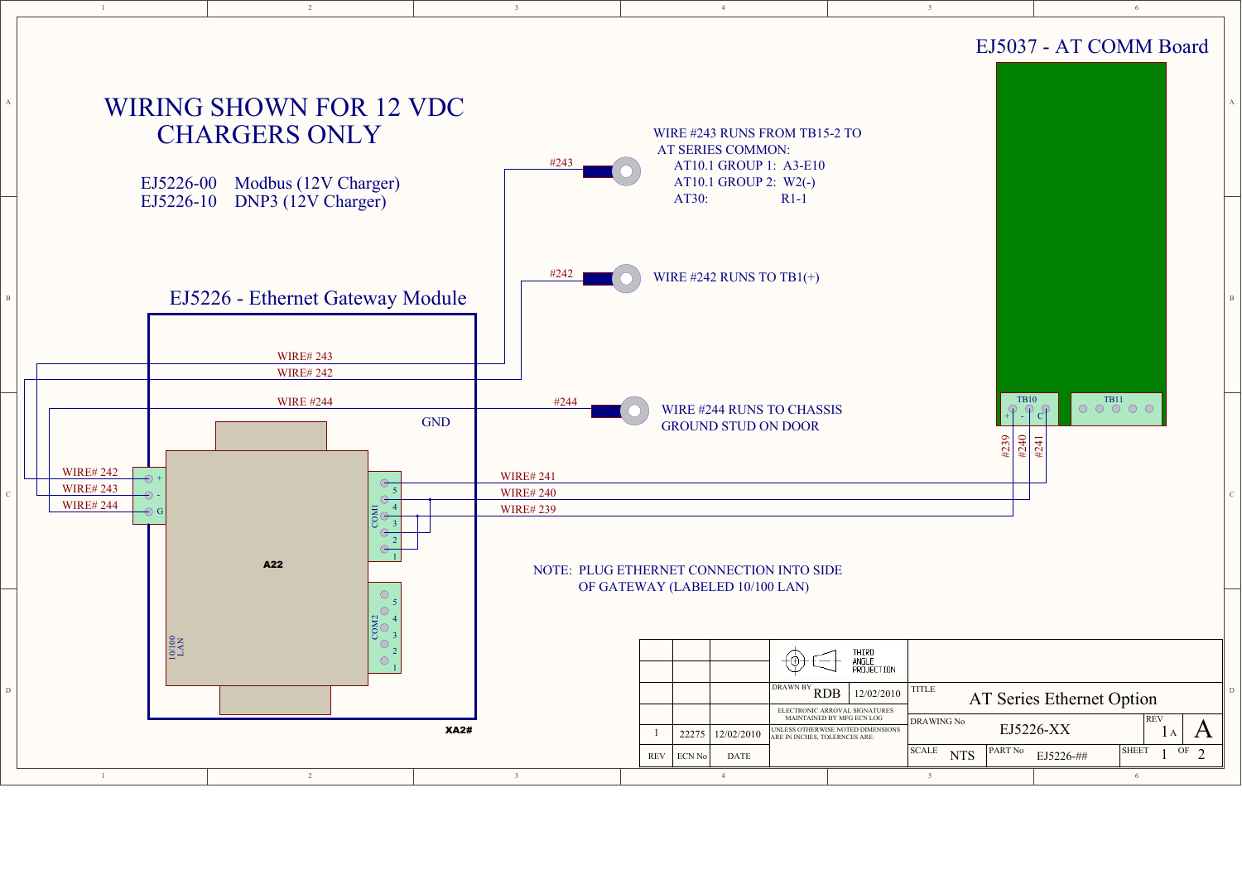

6

## CHARGERS ONLY

2

EJ5226-10 DNP3 (12V Charger)